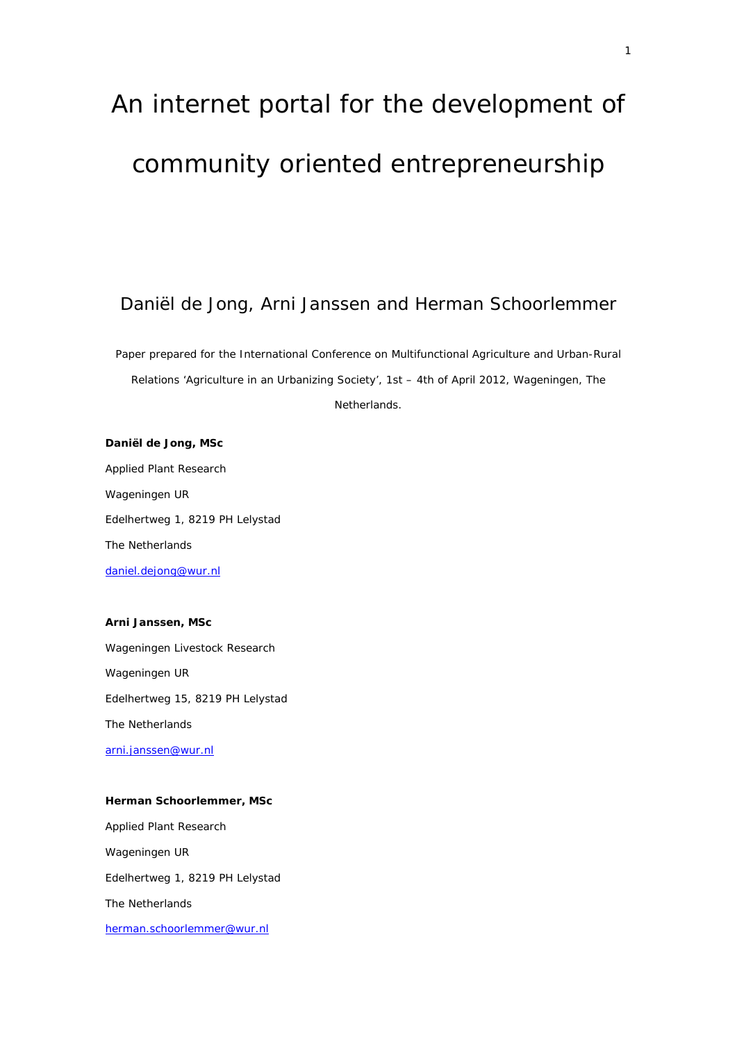# An internet portal for the development of community oriented entrepreneurship

# Daniël de Jong, Arni Janssen and Herman Schoorlemmer

*Paper prepared for the International Conference on Multifunctional Agriculture and Urban-Rural Relations 'Agriculture in an Urbanizing Society', 1st – 4th of April 2012, Wageningen, The Netherlands.* 

**Daniël de Jong, MSc**  Applied Plant Research Wageningen UR Edelhertweg 1, 8219 PH Lelystad The Netherlands daniel.dejong@wur.nl

# **Arni Janssen, MSc**

Wageningen Livestock Research Wageningen UR Edelhertweg 15, 8219 PH Lelystad The Netherlands arni.janssen@wur.nl

## **Herman Schoorlemmer, MSc**

Applied Plant Research Wageningen UR Edelhertweg 1, 8219 PH Lelystad The Netherlands herman.schoorlemmer@wur.nl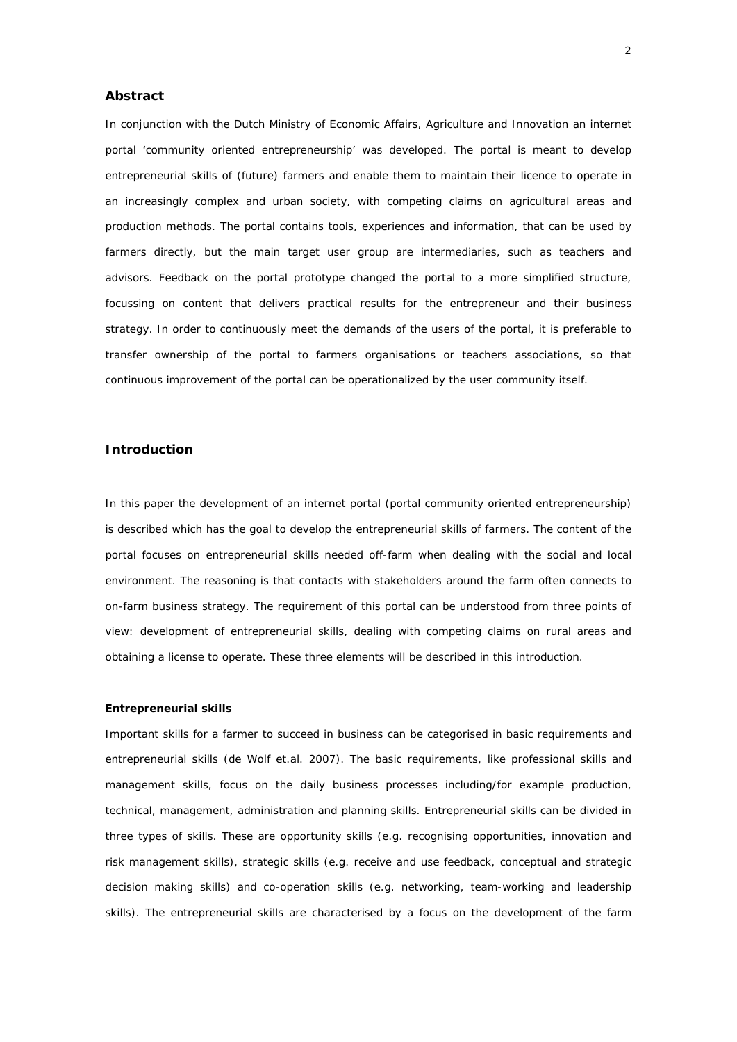## **Abstract**

In conjunction with the Dutch Ministry of Economic Affairs, Agriculture and Innovation an internet portal 'community oriented entrepreneurship' was developed. The portal is meant to develop entrepreneurial skills of (future) farmers and enable them to maintain their licence to operate in an increasingly complex and urban society, with competing claims on agricultural areas and production methods. The portal contains tools, experiences and information, that can be used by farmers directly, but the main target user group are intermediaries, such as teachers and advisors. Feedback on the portal prototype changed the portal to a more simplified structure, focussing on content that delivers practical results for the entrepreneur and their business strategy. In order to continuously meet the demands of the users of the portal, it is preferable to transfer ownership of the portal to farmers organisations or teachers associations, so that continuous improvement of the portal can be operationalized by the user community itself.

# **Introduction**

In this paper the development of an internet portal (portal community oriented entrepreneurship) is described which has the goal to develop the entrepreneurial skills of farmers. The content of the portal focuses on entrepreneurial skills needed off-farm when dealing with the social and local environment. The reasoning is that contacts with stakeholders around the farm often connects to on-farm business strategy. The requirement of this portal can be understood from three points of view: development of entrepreneurial skills, dealing with competing claims on rural areas and obtaining a license to operate. These three elements will be described in this introduction.

#### *Entrepreneurial skills*

Important skills for a farmer to succeed in business can be categorised in basic requirements and entrepreneurial skills (de Wolf et.al. 2007). The basic requirements, like professional skills and management skills, focus on the daily business processes including/for example production, technical, management, administration and planning skills. Entrepreneurial skills can be divided in three types of skills. These are opportunity skills (e.g. recognising opportunities, innovation and risk management skills), strategic skills (e.g. receive and use feedback, conceptual and strategic decision making skills) and co-operation skills (e.g. networking, team-working and leadership skills). The entrepreneurial skills are characterised by a focus on the development of the farm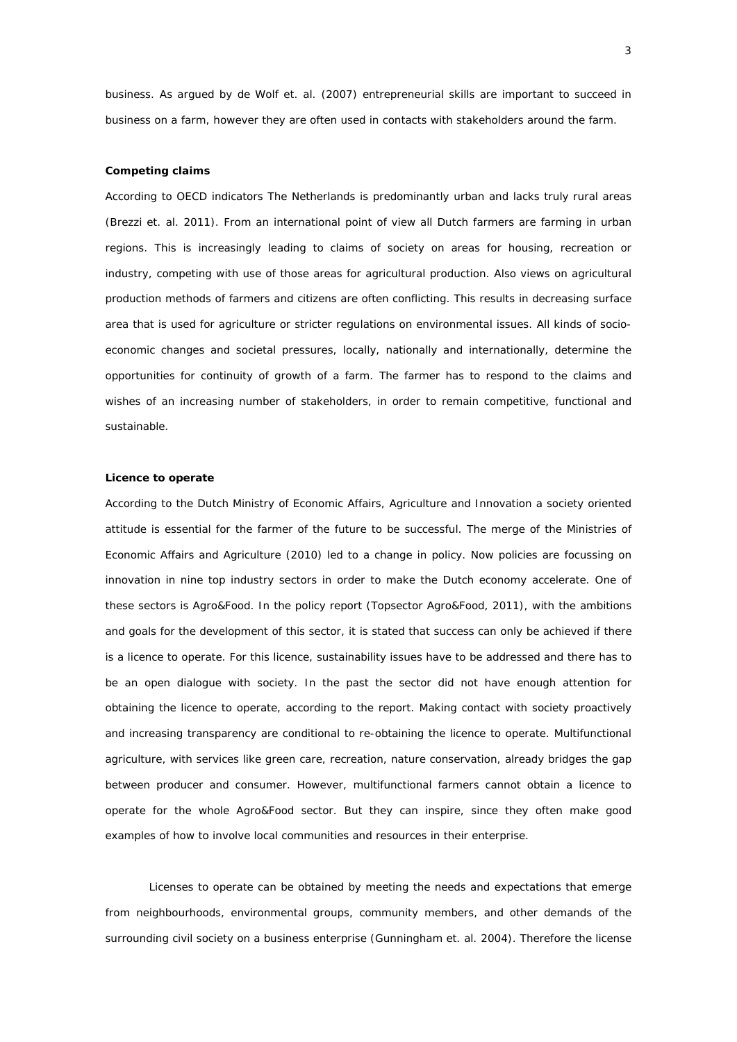business. As argued by de Wolf et. al. (2007) entrepreneurial skills are important to succeed in business *on* a farm, however they are often used in contacts with stakeholders *around* the farm.

#### *Competing claims*

According to OECD indicators The Netherlands is predominantly urban and lacks truly rural areas (Brezzi et. al. 2011). From an international point of view all Dutch farmers are farming in urban regions. This is increasingly leading to claims of society on areas for housing, recreation or industry, competing with use of those areas for agricultural production. Also views on agricultural production methods of farmers and citizens are often conflicting. This results in decreasing surface area that is used for agriculture or stricter regulations on environmental issues. All kinds of socioeconomic changes and societal pressures, locally, nationally and internationally, determine the opportunities for continuity of growth of a farm. The farmer has to respond to the claims and wishes of an increasing number of stakeholders, in order to remain competitive, functional and sustainable.

#### *Licence to operate*

According to the Dutch Ministry of Economic Affairs, Agriculture and Innovation a society oriented attitude is essential for the farmer of the future to be successful. The merge of the Ministries of Economic Affairs and Agriculture (2010) led to a change in policy. Now policies are focussing on innovation in nine top industry sectors in order to make the Dutch economy accelerate. One of these sectors is Agro&Food. In the policy report (Topsector Agro&Food, 2011), with the ambitions and goals for the development of this sector, it is stated that success can only be achieved if there is a licence to operate. For this licence, sustainability issues have to be addressed and there has to be an open dialogue with society. In the past the sector did not have enough attention for obtaining the licence to operate, according to the report. Making contact with society proactively and increasing transparency are conditional to re-obtaining the licence to operate. Multifunctional agriculture, with services like green care, recreation, nature conservation, already bridges the gap between producer and consumer. However, multifunctional farmers cannot obtain a licence to operate for the whole Agro&Food sector. But they can inspire, since they often make good examples of how to involve local communities and resources in their enterprise.

Licenses to operate can be obtained by meeting the needs and expectations that emerge from neighbourhoods, environmental groups, community members, and other demands of the surrounding civil society on a business enterprise (Gunningham et. al. 2004). Therefore the license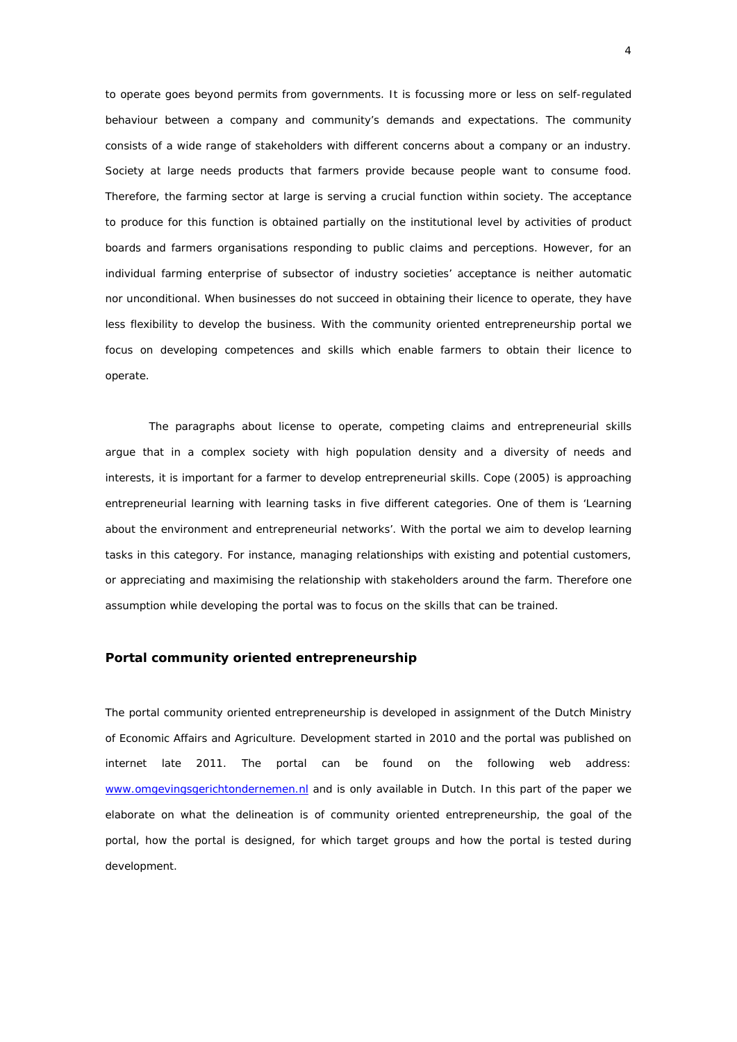to operate goes beyond permits from governments. It is focussing more or less on self-regulated behaviour between a company and community's demands and expectations. The community consists of a wide range of stakeholders with different concerns about a company or an industry. Society at large needs products that farmers provide because people want to consume food. Therefore, the farming sector at large is serving a crucial function within society. The acceptance to produce for this function is obtained partially on the institutional level by activities of product boards and farmers organisations responding to public claims and perceptions. However, for an individual farming enterprise of subsector of industry societies' acceptance is neither automatic nor unconditional. When businesses do not succeed in obtaining their licence to operate, they have less flexibility to develop the business. With the community oriented entrepreneurship portal we focus on developing competences and skills which enable farmers to obtain their licence to operate.

 The paragraphs about license to operate, competing claims and entrepreneurial skills argue that in a complex society with high population density and a diversity of needs and interests, it is important for a farmer to develop entrepreneurial skills. Cope (2005) is approaching entrepreneurial learning with learning tasks in five different categories. One of them is 'Learning about the environment and entrepreneurial networks'. With the portal we aim to develop learning tasks in this category. For instance, managing relationships with existing and potential customers, or appreciating and maximising the relationship with stakeholders around the farm. Therefore one assumption while developing the portal was to focus on the skills that can be trained.

# **Portal community oriented entrepreneurship**

The portal community oriented entrepreneurship is developed in assignment of the Dutch Ministry of Economic Affairs and Agriculture. Development started in 2010 and the portal was published on internet late 2011. The portal can be found on the following web address: www.omgevingsgerichtondernemen.nl and is only available in Dutch. In this part of the paper we elaborate on what the delineation is of community oriented entrepreneurship, the goal of the portal, how the portal is designed, for which target groups and how the portal is tested during development.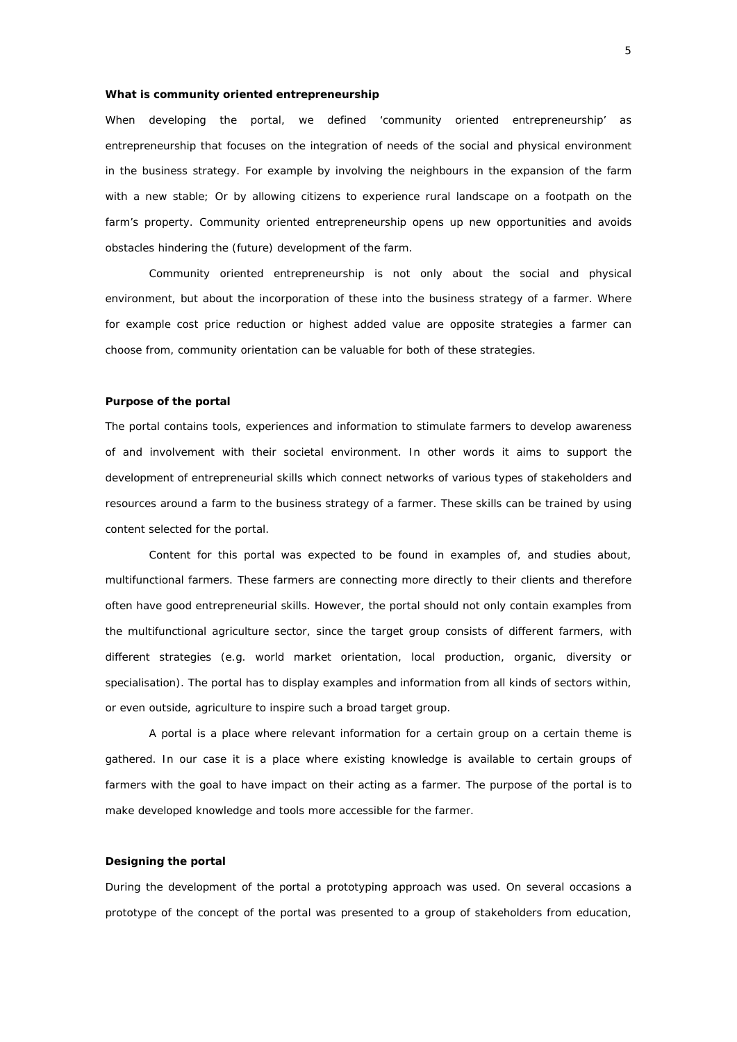#### *What is community oriented* **entrepreneurship**

When developing the portal, we defined 'community oriented entrepreneurship' as entrepreneurship that focuses on the integration of needs of the social and physical environment in the business strategy. For example by involving the neighbours in the expansion of the farm with a new stable; Or by allowing citizens to experience rural landscape on a footpath on the farm's property. Community oriented entrepreneurship opens up new opportunities and avoids obstacles hindering the (future) development of the farm.

 Community oriented entrepreneurship is not only about the social and physical environment, but about the incorporation of these into the business strategy of a farmer. Where for example cost price reduction or highest added value are opposite strategies a farmer can choose from, community orientation can be valuable for both of these strategies.

#### *Purpose of the portal*

The portal contains tools, experiences and information to stimulate farmers to develop awareness of and involvement with their societal environment. In other words it aims to support the development of entrepreneurial skills which connect networks of various types of stakeholders and resources around a farm to the business strategy of a farmer. These skills can be trained by using content selected for the portal.

 Content for this portal was expected to be found in examples of, and studies about, multifunctional farmers. These farmers are connecting more directly to their clients and therefore often have good entrepreneurial skills. However, the portal should not only contain examples from the multifunctional agriculture sector, since the target group consists of different farmers, with different strategies (e.g. world market orientation, local production, organic, diversity or specialisation). The portal has to display examples and information from all kinds of sectors within, or even outside, agriculture to inspire such a broad target group.

 A portal is a place where relevant information for a certain group on a certain theme is gathered. In our case it is a place where existing knowledge is available to certain groups of farmers with the goal to have impact on their acting as a farmer. The purpose of the portal is to make developed knowledge and tools more accessible for the farmer.

## *Designing the portal*

During the development of the portal a prototyping approach was used. On several occasions a prototype of the concept of the portal was presented to a group of stakeholders from education,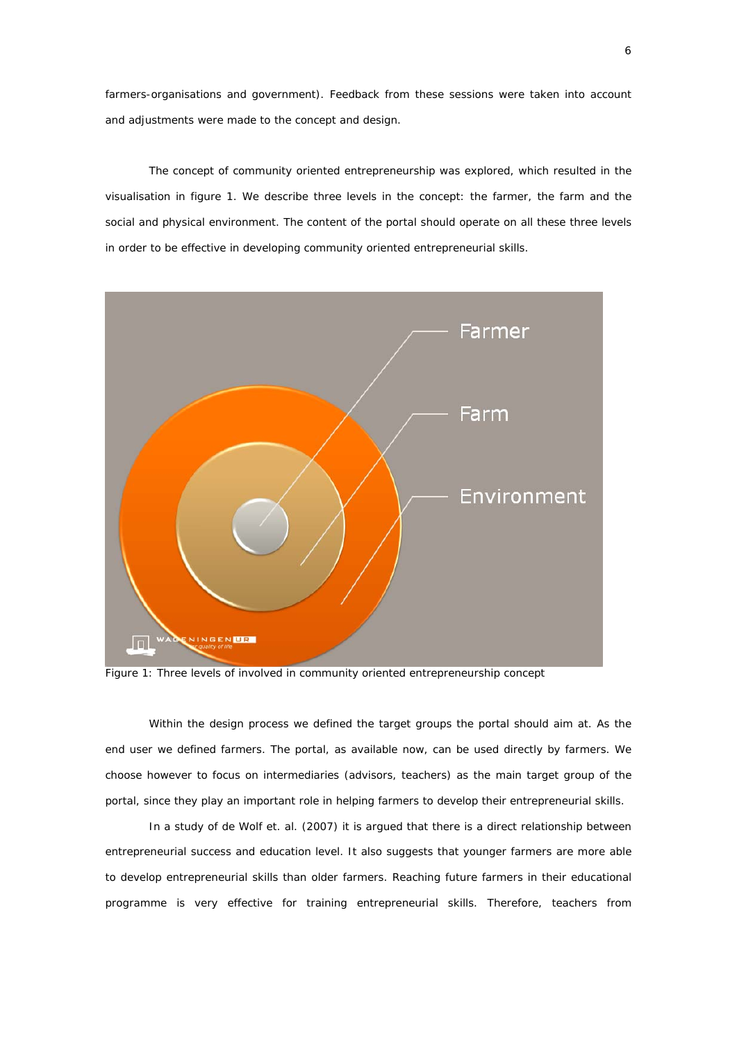farmers-organisations and government). Feedback from these sessions were taken into account and adjustments were made to the concept and design.

 The concept of community oriented entrepreneurship was explored, which resulted in the visualisation in figure 1. We describe three levels in the concept: the farmer, the farm and the social and physical environment. The content of the portal should operate on all these three levels in order to be effective in developing community oriented entrepreneurial skills.



Figure 1: *Three levels of involved in community oriented entrepreneurship concept* 

Within the design process we defined the target groups the portal should aim at. As the end user we defined farmers. The portal, as available now, can be used directly by farmers. We choose however to focus on intermediaries (advisors, teachers) as the main target group of the portal, since they play an important role in helping farmers to develop their entrepreneurial skills.

In a study of de Wolf et. al. (2007) it is argued that there is a direct relationship between entrepreneurial success and education level. It also suggests that younger farmers are more able to develop entrepreneurial skills than older farmers. Reaching future farmers in their educational programme is very effective for training entrepreneurial skills. Therefore, teachers from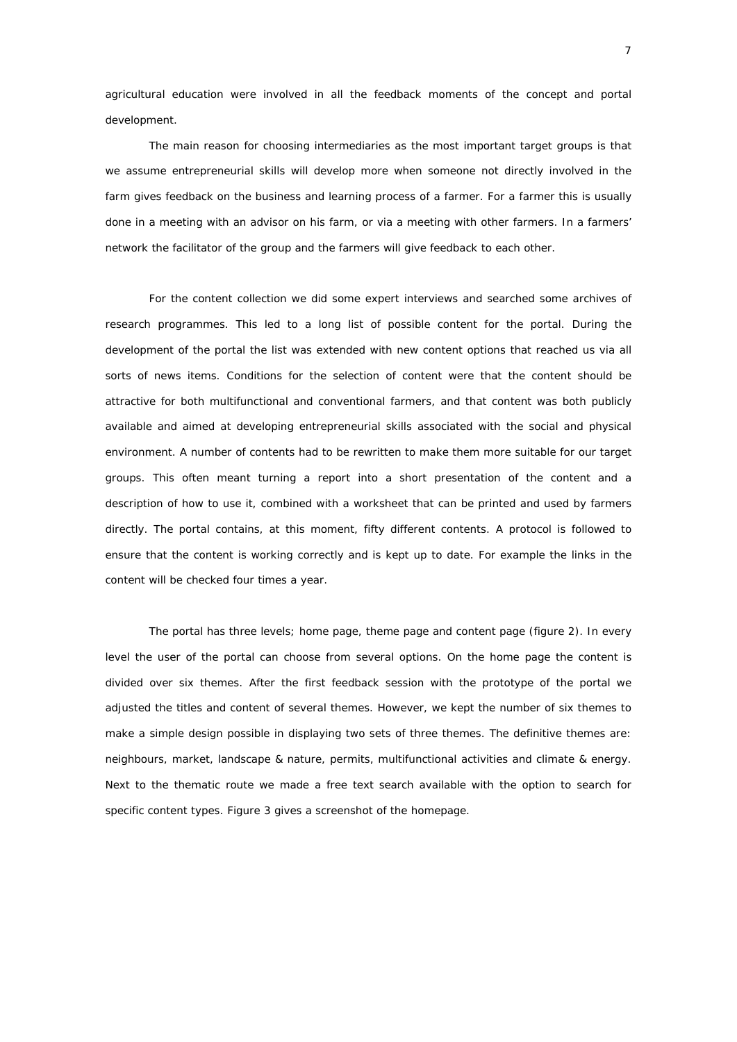agricultural education were involved in all the feedback moments of the concept and portal development.

The main reason for choosing intermediaries as the most important target groups is that we assume entrepreneurial skills will develop more when someone not directly involved in the farm gives feedback on the business and learning process of a farmer. For a farmer this is usually done in a meeting with an advisor on his farm, or via a meeting with other farmers. In a farmers' network the facilitator of the group and the farmers will give feedback to each other.

 For the content collection we did some expert interviews and searched some archives of research programmes. This led to a long list of possible content for the portal. During the development of the portal the list was extended with new content options that reached us via all sorts of news items. Conditions for the selection of content were that the content should be attractive for both multifunctional and conventional farmers, and that content was both publicly available and aimed at developing entrepreneurial skills associated with the social and physical environment. A number of contents had to be rewritten to make them more suitable for our target groups. This often meant turning a report into a short presentation of the content and a description of how to use it, combined with a worksheet that can be printed and used by farmers directly. The portal contains, at this moment, fifty different contents. A protocol is followed to ensure that the content is working correctly and is kept up to date. For example the links in the content will be checked four times a year.

 The portal has three levels; home page, theme page and content page (figure 2). In every level the user of the portal can choose from several options. On the home page the content is divided over six themes. After the first feedback session with the prototype of the portal we adjusted the titles and content of several themes. However, we kept the number of six themes to make a simple design possible in displaying two sets of three themes. The definitive themes are: neighbours, market, landscape & nature, permits, multifunctional activities and climate & energy. Next to the thematic route we made a free text search available with the option to search for specific content types. Figure 3 gives a screenshot of the homepage.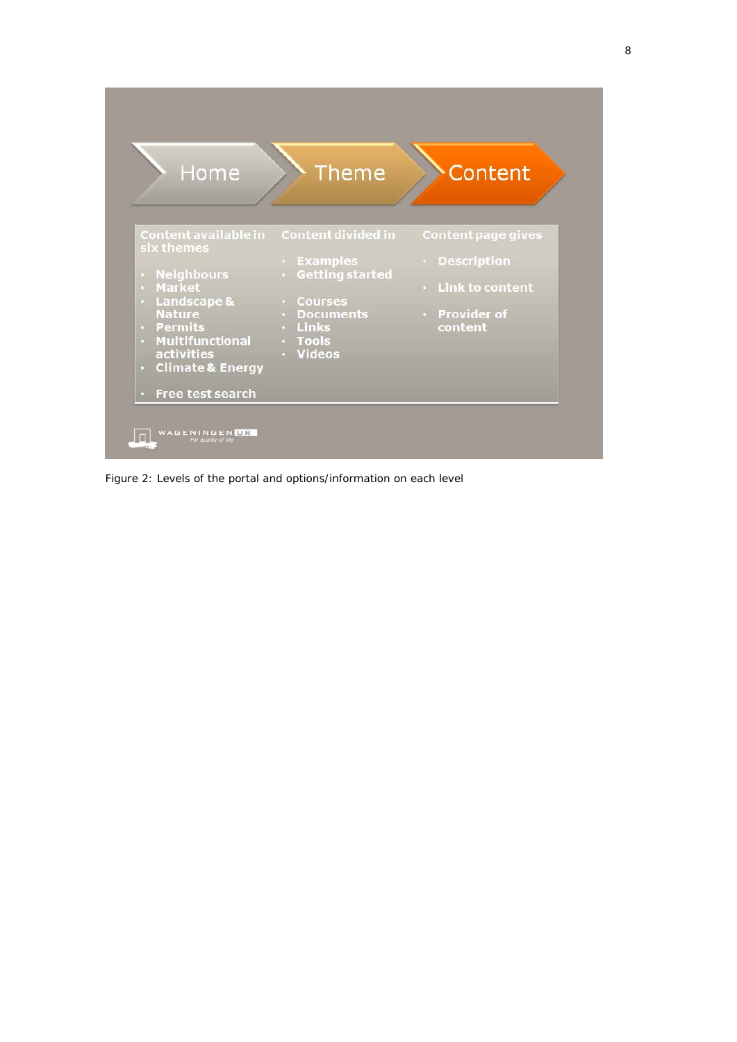

Figure 2: *Levels of the portal and options/information on each level*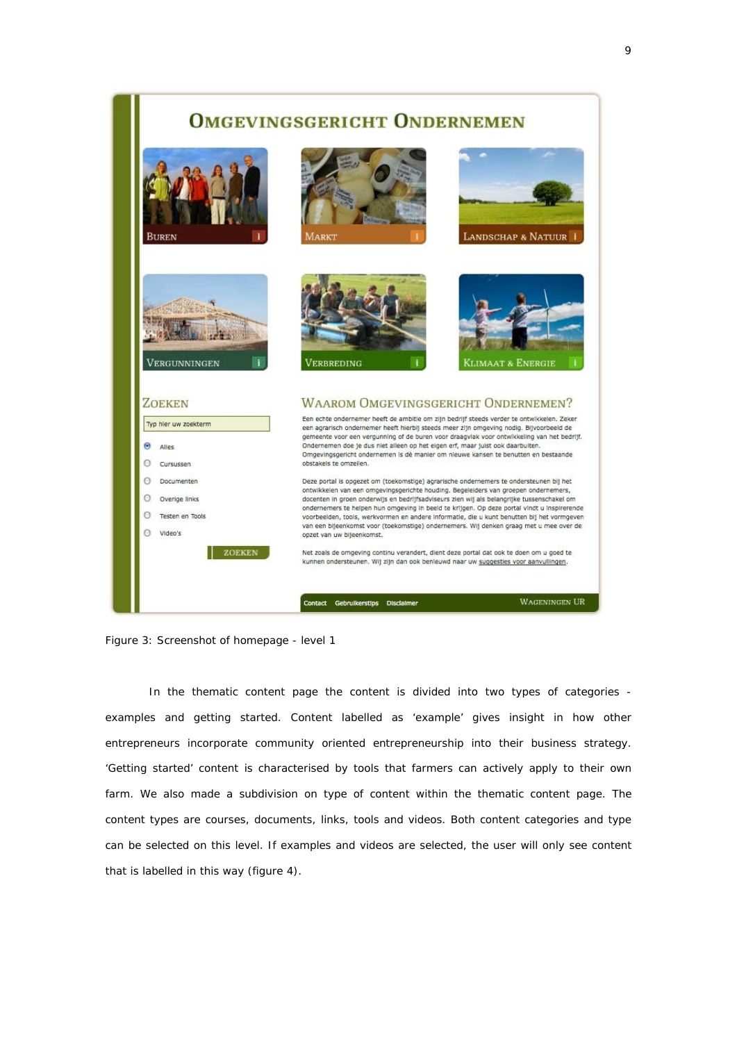# **OMGEVINGSGERICHT ONDERNEMEN**





In the thematic content page the content is divided into two types of categories examples and getting started. Content labelled as 'example' gives insight in how other entrepreneurs incorporate community oriented entrepreneurship into their business strategy. 'Getting started' content is characterised by tools that farmers can actively apply to their own farm. We also made a subdivision on type of content within the thematic content page. The content types are courses, documents, links, tools and videos. Both content categories and type can be selected on this level. If examples and videos are selected, the user will only see content that is labelled in this way (figure 4).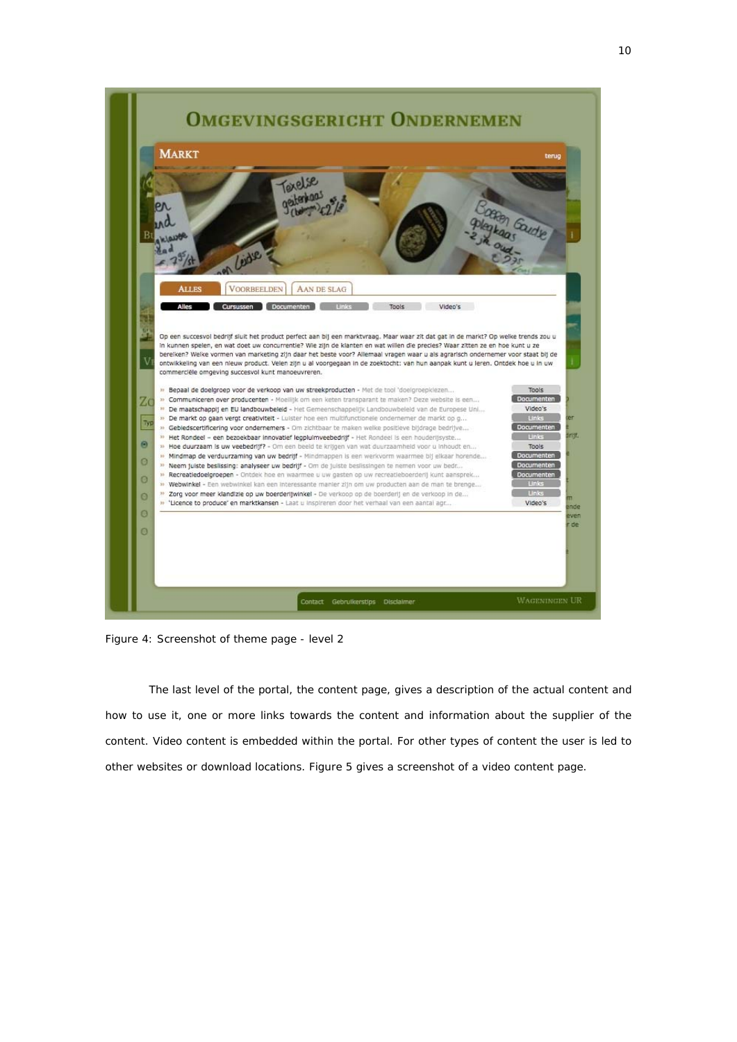

Figure 4: *Screenshot of theme page - level 2* 

 The last level of the portal, the content page, gives a description of the actual content and how to use it, one or more links towards the content and information about the supplier of the content. Video content is embedded within the portal. For other types of content the user is led to other websites or download locations. Figure 5 gives a screenshot of a video content page.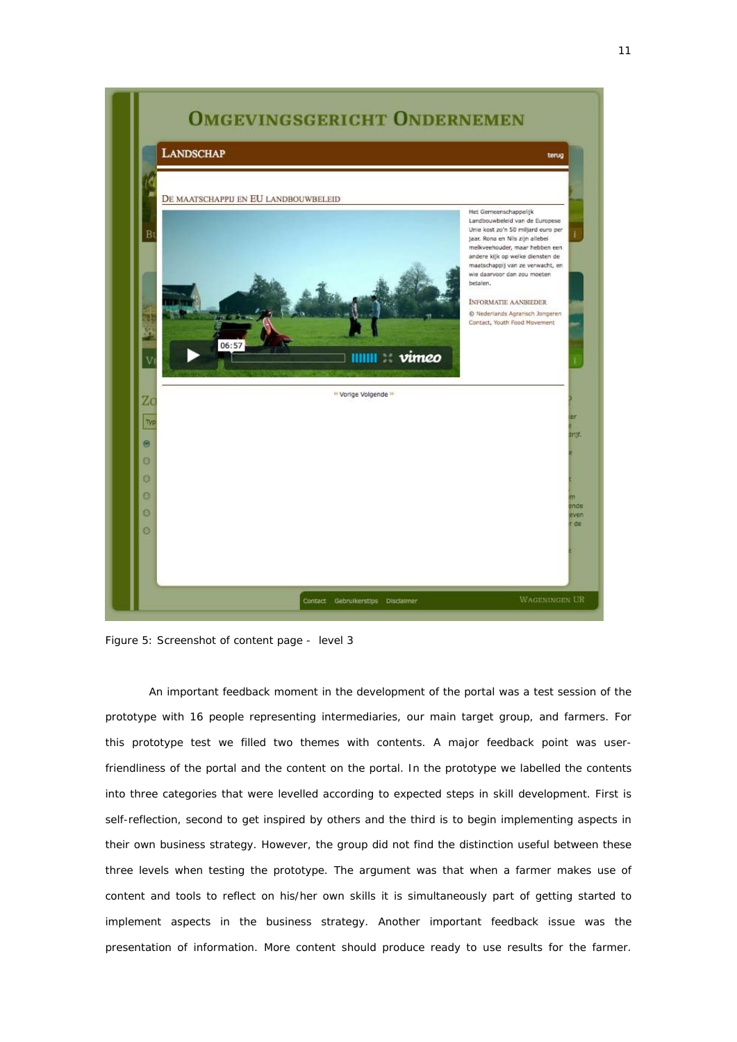

Figure 5: *Screenshot of content page - level 3* 

An important feedback moment in the development of the portal was a test session of the prototype with 16 people representing intermediaries, our main target group, and farmers. For this prototype test we filled two themes with contents. A major feedback point was userfriendliness of the portal and the content on the portal. In the prototype we labelled the contents into three categories that were levelled according to expected steps in skill development. First is self-reflection, second to get inspired by others and the third is to begin implementing aspects in their own business strategy. However, the group did not find the distinction useful between these three levels when testing the prototype. The argument was that when a farmer makes use of content and tools to reflect on his/her own skills it is simultaneously part of getting started to implement aspects in the business strategy. Another important feedback issue was the presentation of information. More content should produce ready to use results for the farmer.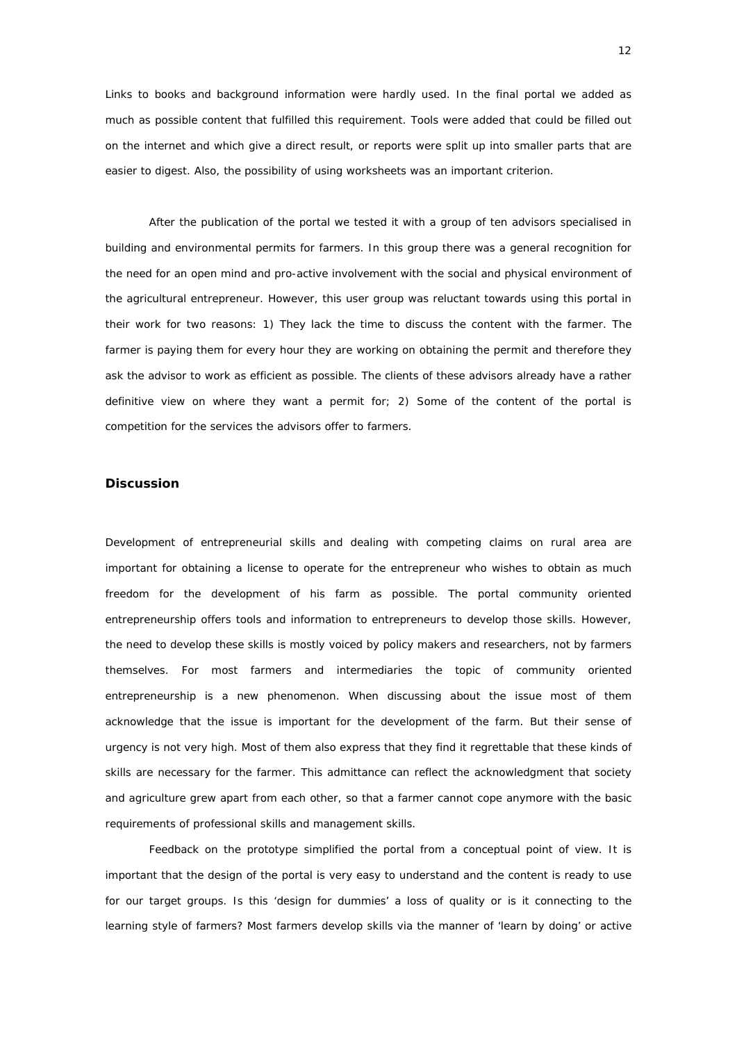Links to books and background information were hardly used. In the final portal we added as much as possible content that fulfilled this requirement. Tools were added that could be filled out on the internet and which give a direct result, or reports were split up into smaller parts that are easier to digest. Also, the possibility of using worksheets was an important criterion.

After the publication of the portal we tested it with a group of ten advisors specialised in building and environmental permits for farmers. In this group there was a general recognition for the need for an open mind and pro-active involvement with the social and physical environment of the agricultural entrepreneur. However, this user group was reluctant towards using this portal in their work for two reasons: 1) They lack the time to discuss the content with the farmer. The farmer is paying them for every hour they are working on obtaining the permit and therefore they ask the advisor to work as efficient as possible. The clients of these advisors already have a rather definitive view on where they want a permit for; 2) Some of the content of the portal is competition for the services the advisors offer to farmers.

# **Discussion**

Development of entrepreneurial skills and dealing with competing claims on rural area are important for obtaining a license to operate for the entrepreneur who wishes to obtain as much freedom for the development of his farm as possible. The portal community oriented entrepreneurship offers tools and information to entrepreneurs to develop those skills. However, the need to develop these skills is mostly voiced by policy makers and researchers, not by farmers themselves. For most farmers and intermediaries the topic of community oriented entrepreneurship is a new phenomenon. When discussing about the issue most of them acknowledge that the issue is important for the development of the farm. But their sense of urgency is not very high. Most of them also express that they find it regrettable that these kinds of skills are necessary for the farmer. This admittance can reflect the acknowledgment that society and agriculture grew apart from each other, so that a farmer cannot cope anymore with the basic requirements of professional skills and management skills.

Feedback on the prototype simplified the portal from a conceptual point of view. It is important that the design of the portal is very easy to understand and the content is ready to use for our target groups. Is this 'design for dummies' a loss of quality or is it connecting to the learning style of farmers? Most farmers develop skills via the manner of 'learn by doing' or active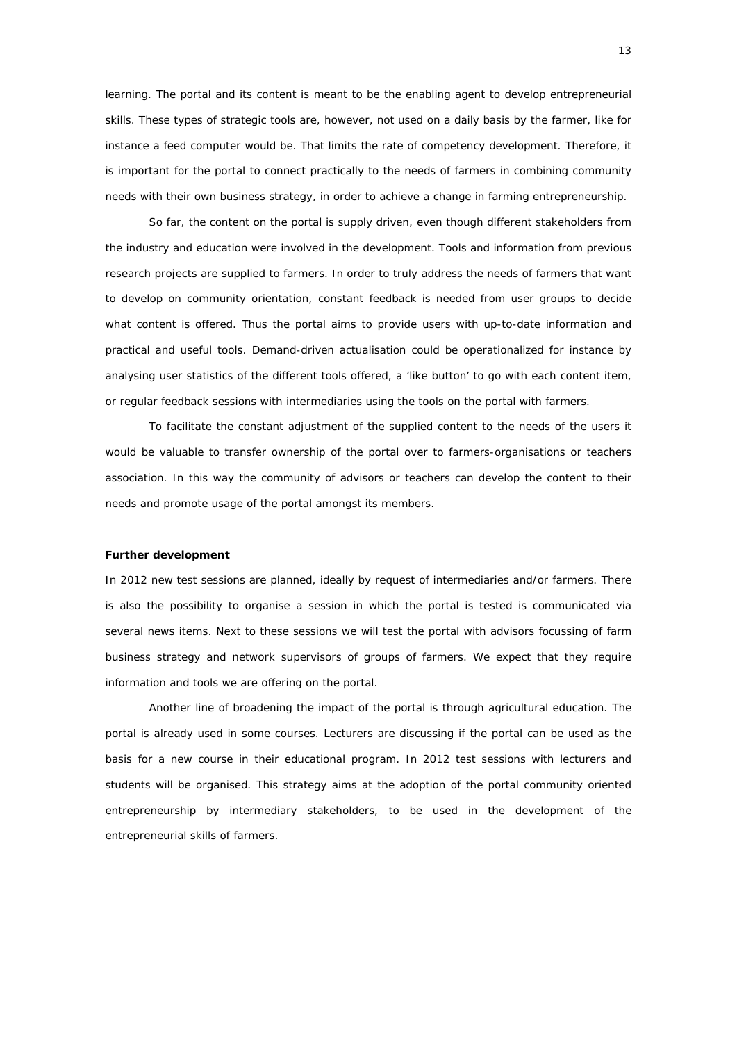learning. The portal and its content is meant to be the enabling agent to develop entrepreneurial skills. These types of strategic tools are, however, not used on a daily basis by the farmer, like for instance a feed computer would be. That limits the rate of competency development. Therefore, it is important for the portal to connect practically to the needs of farmers in combining community needs with their own business strategy, in order to achieve a change in farming entrepreneurship.

So far, the content on the portal is supply driven, even though different stakeholders from the industry and education were involved in the development. Tools and information from previous research projects are supplied to farmers. In order to truly address the needs of farmers that want to develop on community orientation, constant feedback is needed from user groups to decide what content is offered. Thus the portal aims to provide users with up-to-date information and practical and useful tools. Demand-driven actualisation could be operationalized for instance by analysing user statistics of the different tools offered, a 'like button' to go with each content item, or regular feedback sessions with intermediaries using the tools on the portal with farmers.

To facilitate the constant adjustment of the supplied content to the needs of the users it would be valuable to transfer ownership of the portal over to farmers-organisations or teachers association. In this way the community of advisors or teachers can develop the content to their needs and promote usage of the portal amongst its members.

#### *Further development*

In 2012 new test sessions are planned, ideally by request of intermediaries and/or farmers. There is also the possibility to organise a session in which the portal is tested is communicated via several news items. Next to these sessions we will test the portal with advisors focussing of farm business strategy and network supervisors of groups of farmers. We expect that they require information and tools we are offering on the portal.

Another line of broadening the impact of the portal is through agricultural education. The portal is already used in some courses. Lecturers are discussing if the portal can be used as the basis for a new course in their educational program. In 2012 test sessions with lecturers and students will be organised. This strategy aims at the adoption of the portal community oriented entrepreneurship by intermediary stakeholders, to be used in the development of the entrepreneurial skills of farmers.